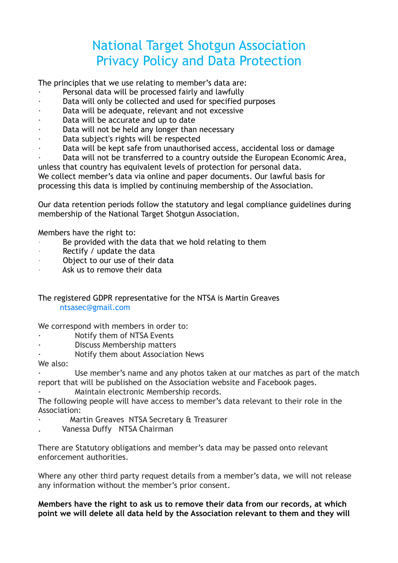## National Target Shotgun Association Privacy Policy and Data Protection

The principles that we use relating to member's data are:

- Personal data will be processed fairly and lawfully
- Data will only be collected and used for specified purposes
- Data will be adequate, relevant and not excessive
- Data will be accurate and up to date
- Data will not be held any longer than necessary
- Data subject's rights will be respected
- Data will be kept safe from unauthorised access, accidental loss or damage

Data will not be transferred to a country outside the European Economic Area, unless that country has equivalent levels of protection for personal data. We collect member's data via online and paper documents. Our lawful basis for

processing this data is implied by continuing membership of the Association.

Our data retention periods follow the statutory and legal compliance guidelines during membership of the National Target Shotgun Association.

Members have the right to:

- · Be provided with the data that we hold relating to them
- Rectify / update the data
- Object to our use of their data
- Ask us to remove their data

## The registered GDPR representative for the NTSA is Martin Greaves ntsasec@gmail.com

We correspond with members in order to:

- Notify them of NTSA Events
- Discuss Membership matters
- Notify them about Association News

## We also:

Use member's name and any photos taken at our matches as part of the match report that will be published on the Association website and Facebook pages.

Maintain electronic Membership records.

The following people will have access to member's data relevant to their role in the Association:

- Martin Greaves NTSA Secretary & Treasurer
- Vanessa Duffy NTSA Chairman

There are Statutory obligations and member's data may be passed onto relevant enforcement authorities.

Where any other third party request details from a member's data, we will not release any information without the member's prior consent.

**Members have the right to ask us to remove their data from our records, at which point we will delete all data held by the Association relevant to them and they will**